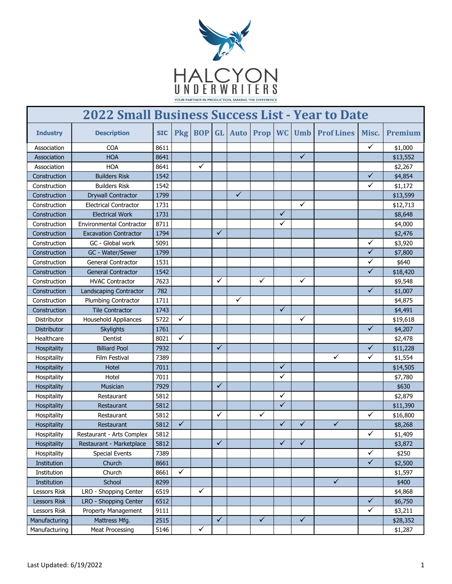

| <b>2022 Small Business Success List - Year to Date</b> |                                 |            |              |              |              |              |              |                         |                         |                   |              |          |
|--------------------------------------------------------|---------------------------------|------------|--------------|--------------|--------------|--------------|--------------|-------------------------|-------------------------|-------------------|--------------|----------|
| <b>Industry</b>                                        | <b>Description</b>              | <b>SIC</b> | <b>Pkg</b>   | <b>BOP</b>   | <b>GL</b>    | <b>Auto</b>  | Prop WC      |                         | <b>Umb</b>              | <b>Prof Lines</b> | Misc.        | Premium  |
| Association                                            | <b>COA</b>                      | 8611       |              |              |              |              |              |                         |                         |                   | $\checkmark$ | \$1,000  |
| <b>Association</b>                                     | <b>HOA</b>                      | 8641       |              |              |              |              |              |                         | ✓                       |                   |              | \$13,552 |
| Association                                            | <b>HOA</b>                      | 8641       |              | ✓            |              |              |              |                         |                         |                   |              | \$2,267  |
| Construction                                           | <b>Builders Risk</b>            | 1542       |              |              |              |              |              |                         |                         |                   | $\checkmark$ | \$4,854  |
| Construction                                           | <b>Builders Risk</b>            | 1542       |              |              |              |              |              |                         |                         |                   | $\checkmark$ | \$1,172  |
| Construction                                           | <b>Drywall Contractor</b>       | 1799       |              |              |              | $\checkmark$ |              |                         |                         |                   |              | \$13,599 |
| Construction                                           | <b>Electrical Contractor</b>    | 1731       |              |              |              |              |              |                         | $\checkmark$            |                   |              | \$12,713 |
| Construction                                           | <b>Electrical Work</b>          | 1731       |              |              |              |              |              | ✓                       |                         |                   |              | \$8,648  |
| Construction                                           | <b>Environmental Contractor</b> | 8711       |              |              |              |              |              | ✓                       |                         |                   |              | \$4,000  |
| Construction                                           | <b>Excavation Contractor</b>    | 1794       |              |              | ✓            |              |              |                         |                         |                   |              | \$2,476  |
| Construction                                           | GC - Global work                | 5091       |              |              |              |              |              |                         |                         |                   | $\checkmark$ | \$3,920  |
| Construction                                           | GC - Water/Sewer                | 1799       |              |              |              |              |              |                         |                         |                   | $\checkmark$ | \$7,800  |
| Construction                                           | <b>General Contractor</b>       | 1531       |              |              |              |              |              |                         |                         |                   | ✓            | \$640    |
| Construction                                           | <b>General Contractor</b>       | 1542       |              |              |              |              |              |                         |                         |                   | ✓            | \$18,420 |
| Construction                                           | <b>HVAC Contractor</b>          | 7623       |              |              | ✓            |              | ✓            |                         | $\checkmark$            |                   |              | \$9,548  |
| Construction                                           | Landscaping Contractor          | 782        |              |              |              |              |              |                         |                         |                   | $\checkmark$ | \$1,007  |
| Construction                                           | <b>Plumbing Contractor</b>      | 1711       |              |              |              | ✓            |              |                         |                         |                   |              | \$4,875  |
| Construction                                           | <b>Tile Contractor</b>          | 1743       |              |              |              |              |              | $\checkmark$            |                         |                   |              | \$4,491  |
| Distributor                                            | <b>Household Appliances</b>     | 5722       | ✓            |              |              |              |              |                         | ✓                       |                   |              | \$19,618 |
| Distributor                                            | <b>Skylights</b>                | 1761       |              |              |              |              |              |                         |                         |                   | ✓            | \$4,207  |
| Healthcare                                             | <b>Dentist</b>                  | 8021       | ✓            |              |              |              |              |                         |                         |                   |              | \$2,478  |
| Hospitality                                            | <b>Billiard Pool</b>            | 7932       |              |              | ✓            |              |              |                         |                         |                   | ✓            | \$11,228 |
| Hospitality                                            | Film Festival                   | 7389       |              |              |              |              |              |                         |                         | ✓                 | ✓            | \$1,554  |
| Hospitality                                            | Hotel                           | 7011       |              |              |              |              |              | $\checkmark$            |                         |                   |              | \$14,505 |
| Hospitality                                            | Hotel                           | 7011       |              |              |              |              |              | $\checkmark$            |                         |                   |              | \$7,780  |
| Hospitality                                            | Musician                        | 7929       |              |              | ✓            |              |              |                         |                         |                   |              | \$630    |
| Hospitality                                            | Restaurant                      | 5812       |              |              |              |              |              | ✓                       |                         |                   |              | \$2,879  |
| Hospitality                                            | Restaurant                      | 5812       |              |              |              |              |              | $\checkmark$            |                         |                   |              | \$11,390 |
| Hospitality                                            | Restaurant                      | 5812       |              |              | $\checkmark$ |              | $\checkmark$ |                         |                         |                   | $\checkmark$ | \$16,800 |
| Hospitality                                            | Restaurant                      | 5812       | $\checkmark$ |              |              |              |              | $\checkmark$            | ✓                       | $\checkmark$      |              | \$8,268  |
| Hospitality                                            | Restaurant - Arts Complex       | 5812       |              |              |              |              |              |                         |                         |                   |              | \$1,409  |
| Hospitality                                            | Restaurant - Marketplace        | 5812       |              |              | $\checkmark$ |              |              | $\overline{\checkmark}$ | $\overline{\checkmark}$ |                   |              | \$3,872  |
| Hospitality                                            | <b>Special Events</b>           | 7389       |              |              |              |              |              |                         |                         |                   | $\checkmark$ | \$250    |
| Institution                                            | Church                          | 8661       |              |              |              |              |              |                         |                         |                   | $\checkmark$ | \$2,500  |
| Institution                                            | Church                          | 8661       | ✓            |              |              |              |              |                         |                         |                   |              | \$1,597  |
| Institution                                            | School                          | 8299       |              |              |              |              |              |                         |                         | $\sqrt{}$         |              | \$400    |
| Lessors Risk                                           | LRO - Shopping Center           | 6519       |              | $\checkmark$ |              |              |              |                         |                         |                   |              | \$4,868  |
| Lessors Risk                                           | LRO - Shopping Center           | 6512       |              |              |              |              |              |                         |                         |                   | $\checkmark$ | \$6,750  |
| Lessors Risk                                           | Property Management             | 9111       |              |              |              |              |              |                         |                         |                   | ✓            | \$3,211  |
| Manufacturing                                          | Mattress Mfg.                   | 2515       |              |              | $\checkmark$ |              | $\checkmark$ |                         | $\checkmark$            |                   |              | \$28,352 |
| Manufacturing                                          | <b>Meat Processing</b>          | 5146       |              | $\checkmark$ |              |              |              |                         |                         |                   |              | \$1,287  |